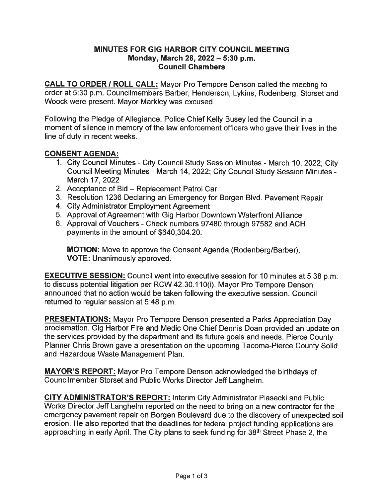## MINUTES FOR GIG HARBOR CITY COUNCIL MEETING Monday, March 28, 2022 - 5:30 p.m. Council Chambers

CALL TO ORDER / ROLL CALL: Mayor Pro Tempore Denson called the meeting to order at 5:30 p.m. Councilmembers Barber, Henderson, Lykins, Rodenberg, Storset and Woock were present. Mayor Markley was excused.

Following the Pledge of Allegiance, Police Chief Kelly Busey led the Council in a moment of silence in memory of the law enforcement officers who gave their lives in the line of duty in recent weeks.

## CONSENT AGENDA:

- 1. City Council Minutes City Council Study Session Minutes March 10, 2022; City Council Meeting Minutes - March 14, 2022; City Council Study Session Minutes - March 17, 2022
- 2. Acceptance of Bid Replacement Patrol Car
- 3. Resolution 1236 Declaring an Emergency for Borgen Blvd. Pavement Repair
- 4. City Administrator Employment Agreement
- 5. Approval of Agreement with Gig Harbor Downtown Waterfront Alliance
- 6. Approval of Vouchers Check numbers 97480 through 97582 and ACH payments in the amount of \$640, 304. 20.

MOTION: Move to approve the Consent Agenda (Rodenberg/Barber) VOTE: Unanimously approved.

**EXECUTIVE SESSION:** Council went into executive session for 10 minutes at 5:38 p.m. to discuss potential litigation per RCW42. 30. 110(i). Mayor Pro Tempore Denson announced that no action would be taken following the executive session. Council returned to regular session at 5:48 p. m.

PRESENTATIONS: Mayor Pro Tempore Denson presented a Parks Appreciation Day proclamation. Gig Harbor Fire and Medic One Chief Dennis Doan provided an update on the services provided by the department and its future goals and needs. Pierce County Planner Chris Brown gave a presentation on the upcoming Tacoma-Pierce County Solid and Hazardous Waste Management Plan.

MAYOR'S REPORT: Mayor Pro Tempore Denson acknowledged the birthdays of Councilmember Storset and Public Works Director Jeff Langhelm.

CITY ADMINISTRATOR'S REPORT: Interim City Administrator Piasecki and Public Works Director Jeff Langhelm reported on the need to bring on a new contractor for the emergency pavement repair on Borgen Boulevard due to the discovery of unexpected soil erosion. He also reported that the deadlines for federal project funding applications are approaching in early April. The City plans to seek funding for 38<sup>th</sup> Street Phase 2, the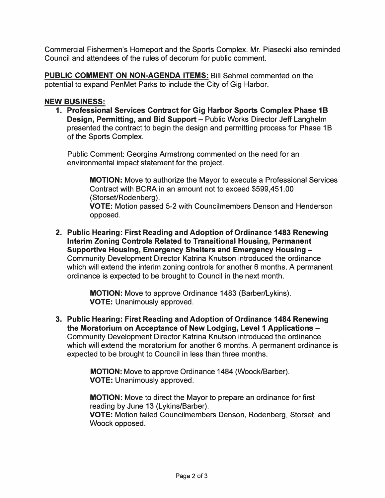Commercial Fishermen's Homeport and the Sports Complex. Mr. Piasecki also reminded Council and attendees of the rules of decorum for public comment.

**PUBLIC COMMENT ON NON-AGENDA ITEMS:** Bill Sehmel commented on the potential to expand PenMet Parks to include the City of Gig Harbor.

## **NEW BUSINESS:**

**1. Professional Services Contract for Gig Harbor Sports Complex Phase 1B Design, Permitting, and Bid Support - Public Works Director Jeff Langhelm** presented the contract to begin the design and permitting process for Phase 1B of the Sports Complex.

Public Comment: Georgina Armstrong commented on the need for an environmental impact statement for the project.

**MOTION:** Move to authorize the Mayor to execute a Professional Services Contract with BCRA in an amount not to exceed \$599,451.00 (Storset/Rodenberg). **VOTE:** Motion passed 5-2 with Councilmembers Denson and Henderson opposed.

**2. Public Hearing: First Reading and Adoption of Ordinance 1483 Renewing Interim Zoning Controls Related to Transitional Housing, Permanent Supportive Housing, Emergency Shelters and Emergency Housing** - Community Development Director Katrina Knutson introduced the ordinance which will extend the interim zoning controls for another 6 months. A permanent ordinance is expected to be brought to Council in the next month.

> **MOTION:** Move to approve Ordinance 1483 (Barber/Lykins). **VOTE:** Unanimously approved.

**3. Public Hearing: First Reading and Adoption of Ordinance 1484 Renewing the Moratorium on Acceptance of New Lodging, Level 1 Applications** - Community Development Director Katrina Knutson introduced the ordinance which will extend the moratorium for another 6 months. A permanent ordinance is expected to be brought to Council in less than three months.

> **MOTION:** Move to approve Ordinance 1484 (Woock/Barber). **VOTE:** Unanimously approved.

**MOTION:** Move to direct the Mayor to prepare an ordinance for first reading by June 13 (Lykins/Barber). **VOTE:** Motion failed Councilmembers Denson, Rodenberg, Storset, and Woock opposed.